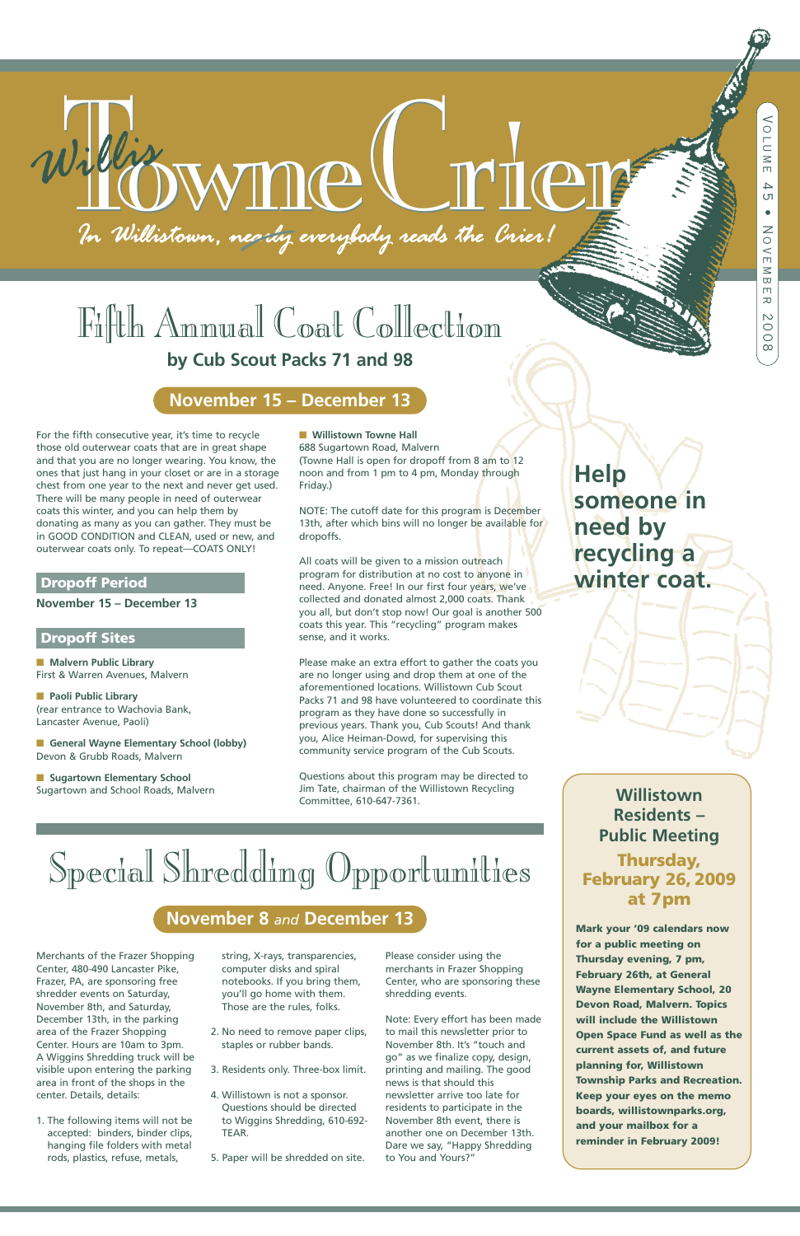For the fifth consecutive year, it's time to recycle those old outerwear coats that are in great shape and that you are no longer wearing. You know, the ones that just hang in your closet or are in a storage chest from one year to the next and never get used. There will be many people in need of outerwear coats this winter, and you can help them by donating as many as you can gather. They must be in GOOD CONDITION and CLEAN, used or new, and outerwear coats only. To repeat—COATS ONLY!

■ **General Wayne Elementary School (lobby)** Devon & Grubb Roads, Malvern

■ **Sugartown Elementary School** Sugartown and School Roads, Malvern

#### ■ **Willistown Towne Hall**

### **Dropoff Period**

**November 15 – December 13**

### **Dropoff Sites**

**■ Malvern Public Library** First & Warren Avenues, Malvern

**■ Paoli Public Library** (rear entrance to Wachovia Bank, Lancaster Avenue, Paoli)

All coats will be given to a mission outreach program for distribution at no cost to anyone in need. Anyone. Free! In our first four years, we've collected and donated almost 2,000 coats. Thank you all, but don't stop now! Our goal is another 500 coats this year. This "recycling" program makes sense, and it works.

688 Sugartown Road, Malvern (Towne Hall is open for dropoff from 8 am to 12 noon and from 1 pm to 4 pm, Monday through Friday.)

NOTE: The cutoff date for this program is December 13th, after which bins will no longer be available for dropoffs.

Please make an extra effort to gather the coats you are no longer using and drop them at one of the aforementioned locations. Willistown Cub Scout Packs 71 and 98 have volunteered to coordinate this program as they have done so successfully in previous years. Thank you, Cub Scouts! And thank you, Alice Heiman-Dowd, for supervising this community service program of the Cub Scouts.

# $\frac{1}{2}$  Towns the Walestown, negrig everybody reads the Crier!

Questions about this program may be directed to Jim Tate, chairman of the Willistown Recycling Committee, 610-647-7361.

Merchants of the Frazer Shopping Center, 480-490 Lancaster Pike, Frazer, PA, are sponsoring free shredder events on Saturday, November 8th, and Saturday, December 13th, in the parking area of the Frazer Shopping Center. Hours are 10am to 3pm. A Wiggins Shredding truck will be visible upon entering the parking area in front of the shops in the center. Details, details:

1. The following items will not be accepted: binders, binder clips, hanging file folders with metal rods, plastics, refuse, metals,

string, X-rays, transparencies, computer disks and spiral notebooks. If you bring them, you'll go home with them. Those are the rules, folks.

- 2. No need to remove paper clips, staples or rubber bands.
- 3. Residents only. Three-box limit.
- 4. Willistown is not a sponsor. Questions should be directed to Wiggins Shredding, 610-692- TEAR.

5. Paper will be shredded on site.

Please consider using the merchants in Frazer Shopping Center, who are sponsoring these shredding events.

Note: Every effort has been made to mail this newsletter prior to November 8th. It's "touch and go" as we finalize copy, design, printing and mailing. The good news is that should this newsletter arrive too late for residents to participate in the November 8th event, there is another one on December 13th. Dare we say, "Happy Shredding to You and Yours?"

# Fifth Annual Coat Collection

# **by Cub Scout Packs 71 and 98**

# Special Shredding Opportunities

# **November 15 – December 13**

# **November 8** *and* **December 13**

# **Willistown Residents – Public Meeting**

**Thursday, February 26, 2009 at 7pm**

**Mark your '09 calendars now for a public meeting on Thursday evening, 7 pm, February 26th, at General Wayne Elementary School, 20 Devon Road, Malvern. Topics will include the Willistown Open Space Fund as well as the current assets of, and future planning for, Willistown Township Parks and Recreation. Keep your eyes on the memo boards, willistownparks.org, and your mailbox for a reminder in February 2009!**

# **Help someone in need by recycling a winter coat.**